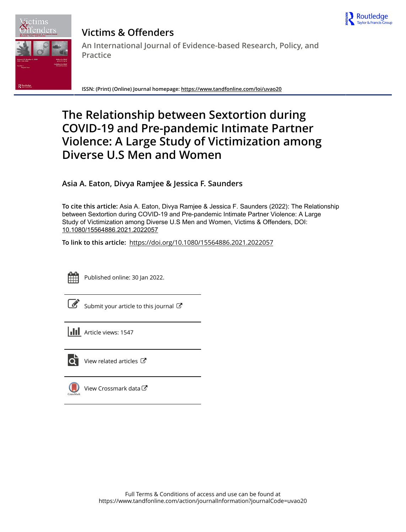



# **Victims & Offenders An International Journal of Evidence-based Research, Policy, and Practice**

**ISSN: (Print) (Online) Journal homepage:<https://www.tandfonline.com/loi/uvao20>**

# **The Relationship between Sextortion during COVID-19 and Pre-pandemic Intimate Partner Violence: A Large Study of Victimization among Diverse U.S Men and Women**

**Asia A. Eaton, Divya Ramjee & Jessica F. Saunders**

**To cite this article:** Asia A. Eaton, Divya Ramjee & Jessica F. Saunders (2022): The Relationship between Sextortion during COVID-19 and Pre-pandemic Intimate Partner Violence: A Large Study of Victimization among Diverse U.S Men and Women, Victims & Offenders, DOI: [10.1080/15564886.2021.2022057](https://www.tandfonline.com/action/showCitFormats?doi=10.1080/15564886.2021.2022057)

**To link to this article:** <https://doi.org/10.1080/15564886.2021.2022057>



Published online: 30 Jan 2022.

|--|

[Submit your article to this journal](https://www.tandfonline.com/action/authorSubmission?journalCode=uvao20&show=instructions)  $\mathbb{Z}$ 

| <b>III</b> Article views: 1547 |
|--------------------------------|
|                                |

 $\overrightarrow{Q}$  [View related articles](https://www.tandfonline.com/doi/mlt/10.1080/15564886.2021.2022057)  $\overrightarrow{C}$ 



[View Crossmark data](http://crossmark.crossref.org/dialog/?doi=10.1080/15564886.2021.2022057&domain=pdf&date_stamp=2022-01-30)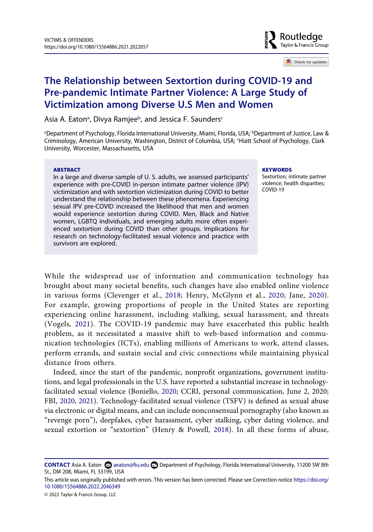

Check for updates

# **The Relationship between Sextortion during COVID-19 and Pre-pandemic Intimate Partner Violence: A Large Study of Victimization among Diverse U.S Men and Women**

Asi[a](#page-1-0) A. Eaton<sup>a</sup>, Divya Ramjee<sup>b</sup>, and Jessica F. Saunders<sup>c</sup>

<span id="page-1-1"></span><span id="page-1-0"></span><sup>a</sup>Department of Psychology, Florida International University, Miami, Florida, USA; <sup>b</sup>Department of Justice, Law & Criminology, American University, Washington, District of Columbia, USA; c Hiatt School of Psychology, Clark University, Worcester, Massachusetts, USA

#### **ABSTRACT**

In a large and diverse sample of U. S. adults, we assessed participants' experience with pre-COVID in-person intimate partner violence (IPV) victimization and with sextortion victimization during COVID to better understand the relationship between these phenomena. Experiencing sexual IPV pre-COVID increased the likelihood that men and women would experience sextortion during COVID. Men, Black and Native women, LGBTQ individuals, and emerging adults more often experienced sextortion during COVID than other groups. Implications for research on technology-facilitated sexual violence and practice with survivors are explored.

#### **KEYWORDS**

Sextortion; intimate partner violence; health disparities; COVID-19

<span id="page-1-6"></span><span id="page-1-3"></span>While the widespread use of information and communication technology has brought about many societal benefits, such changes have also enabled online violence in various forms (Clevenger et al., [2018](#page-14-0); Henry, McGlynn et al., [2020;](#page-15-0) Jane, [2020\)](#page-15-1). For example, growing proportions of people in the United States are reporting experiencing online harassment, including stalking, sexual harassment, and threats (Vogels, [2021](#page-17-0)). The COVID-19 pandemic may have exacerbated this public health problem, as it necessitated a massive shift to web-based information and communication technologies (ICTs), enabling millions of Americans to work, attend classes, perform errands, and sustain social and civic connections while maintaining physical distance from others.

<span id="page-1-4"></span><span id="page-1-2"></span>Indeed, since the start of the pandemic, nonprofit organizations, government institutions, and legal professionals in the U.S. have reported a substantial increase in technologyfacilitated sexual violence (Boniello, [2020](#page-13-0); CCRI, personal communication, June 2, 2020; FBI, [2020,](#page-14-1) [2021\)](#page-14-2). Technology-facilitated sexual violence (TSFV) is defined as sexual abuse via electronic or digital means, and can include nonconsensual pornography (also known as "revenge porn"), deepfakes, cyber harassment, cyber stalking, cyber dating violence, and sexual extortion or "sextortion" (Henry & Powell, [2018](#page-15-2)). In all these forms of abuse,

<span id="page-1-5"></span>**CONTACT** Asia A. Eaton **CO** aeaton@fiu.edu **Department of Psychology, Florida International University, 11200 SW 8th** St., DM 208, Miami, FL 33199, USA

This article was originally published with errors. This version has been corrected. Please see Correction notice [https://doi.org/](https://doi.org/10.1080/15564886.2022.2046349) [10.1080/15564886.2022.2046349](https://doi.org/10.1080/15564886.2022.2046349)

<sup>© 2022</sup> Taylor & Francis Group, LLC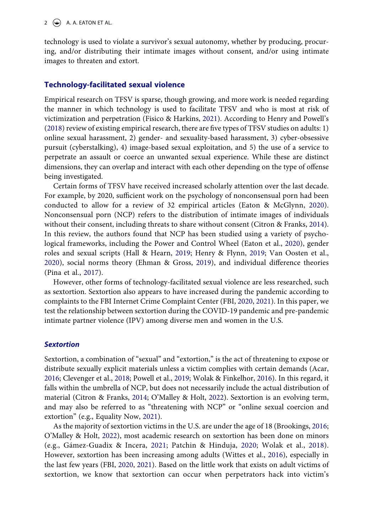technology is used to violate a survivor's sexual autonomy, whether by producing, procuring, and/or distributing their intimate images without consent, and/or using intimate images to threaten and extort.

### **Technology-facilitated sexual violence**

<span id="page-2-7"></span>Empirical research on TFSV is sparse, though growing, and more work is needed regarding the manner in which technology is used to facilitate TFSV and who is most at risk of victimization and perpetration (Fisico & Harkins, [2021\)](#page-14-3). According to Henry and Powell's ([2018\)](#page-15-2) review of existing empirical research, there are five types of TFSV studies on adults: 1) online sexual harassment, 2) gender- and sexuality-based harassment, 3) cyber-obsessive pursuit (cyberstalking), 4) image-based sexual exploitation, and 5) the use of a service to perpetrate an assault or coerce an unwanted sexual experience. While these are distinct dimensions, they can overlap and interact with each other depending on the type of offense being investigated.

<span id="page-2-3"></span>Certain forms of TFSV have received increased scholarly attention over the last decade. For example, by 2020, sufficient work on the psychology of nonconsensual porn had been conducted to allow for a review of 32 empirical articles (Eaton & McGlynn, [2020](#page-14-4)). Nonconsensual porn (NCP) refers to the distribution of intimate images of individuals without their consent, including threats to share without consent (Citron & Franks, [2014](#page-14-5)). In this review, the authors found that NCP has been studied using a variety of psychological frameworks, including the Power and Control Wheel (Eaton et al., [2020](#page-14-6)), gender roles and sexual scripts (Hall & Hearn, [2019](#page-15-3); Henry & Flynn, [2019;](#page-15-4) Van Oosten et al., [2020](#page-17-1)), social norms theory (Ehman & Gross, [2019](#page-14-7)), and individual difference theories (Pina et al., [2017](#page-16-0)).

<span id="page-2-11"></span><span id="page-2-9"></span><span id="page-2-5"></span><span id="page-2-4"></span>However, other forms of technology-facilitated sexual violence are less researched, such as sextortion. Sextortion also appears to have increased during the pandemic according to complaints to the FBI Internet Crime Complaint Center (FBI, [2020](#page-14-1), [2021](#page-14-2)). In this paper, we test the relationship between sextortion during the COVID-19 pandemic and pre-pandemic intimate partner violence (IPV) among diverse men and women in the U.S.

#### *Sextortion*

<span id="page-2-12"></span><span id="page-2-0"></span>Sextortion, a combination of "sexual" and "extortion," is the act of threatening to expose or distribute sexually explicit materials unless a victim complies with certain demands (Acar, [2016](#page-13-1); Clevenger et al., [2018;](#page-14-0) Powell et al., [2019;](#page-16-1) Wolak & Finkelhor, [2016\)](#page-17-2). In this regard, it falls within the umbrella of NCP, but does not necessarily include the actual distribution of material (Citron & Franks, [2014;](#page-14-5) O'Malley & Holt, [2022](#page-16-2)). Sextortion is an evolving term, and may also be referred to as "threatening with NCP" or "online sexual coercion and extortion" (e.g., Equality Now, [2021](#page-14-8)).

<span id="page-2-13"></span><span id="page-2-10"></span><span id="page-2-8"></span><span id="page-2-6"></span><span id="page-2-2"></span><span id="page-2-1"></span>As the majority of sextortion victims in the U.S. are under the age of 18 (Brookings, [2016;](#page-13-2) O'Malley & Holt, [2022](#page-16-2)), most academic research on sextortion has been done on minors (e.g., Gámez-Guadix & Incera, [2021;](#page-14-9) Patchin & Hinduja, [2020;](#page-16-3) Wolak et al., [2018\)](#page-17-3). However, sextortion has been increasing among adults (Wittes et al., [2016](#page-17-4)), especially in the last few years (FBI, [2020,](#page-14-1) [2021](#page-14-2)). Based on the little work that exists on adult victims of sextortion, we know that sextortion can occur when perpetrators hack into victim's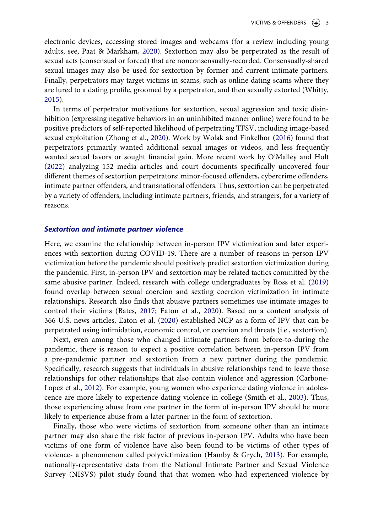<span id="page-3-3"></span>electronic devices, accessing stored images and webcams (for a review including young adults, see, Paat & Markham, [2020\)](#page-16-4). Sextortion may also be perpetrated as the result of sexual acts (consensual or forced) that are nonconsensually-recorded. Consensually-shared sexual images may also be used for sextortion by former and current intimate partners. Finally, perpetrators may target victims in scams, such as online dating scams where they are lured to a dating profile, groomed by a perpetrator, and then sexually extorted (Whitty, [2015](#page-17-5)).

<span id="page-3-7"></span><span id="page-3-6"></span>In terms of perpetrator motivations for sextortion, sexual aggression and toxic disinhibition (expressing negative behaviors in an uninhibited manner online) were found to be positive predictors of self-reported likelihood of perpetrating TFSV, including image-based sexual exploitation (Zhong et al., [2020\)](#page-18-0). Work by Wolak and Finkelhor [\(2016](#page-17-2)) found that perpetrators primarily wanted additional sexual images or videos, and less frequently wanted sexual favors or sought financial gain. More recent work by O'Malley and Holt ([2022](#page-16-2)) analyzing 152 media articles and court documents specifically uncovered four different themes of sextortion perpetrators: minor-focused offenders, cybercrime offenders, intimate partner offenders, and transnational offenders. Thus, sextortion can be perpetrated by a variety of offenders, including intimate partners, friends, and strangers, for a variety of reasons.

#### *Sextortion and intimate partner violence*

<span id="page-3-4"></span>Here, we examine the relationship between in-person IPV victimization and later experiences with sextortion during COVID-19. There are a number of reasons in-person IPV victimization before the pandemic should positively predict sextortion victimization during the pandemic. First, in-person IPV and sextortion may be related tactics committed by the same abusive partner. Indeed, research with college undergraduates by Ross et al. [\(2019\)](#page-16-5) found overlap between sexual coercion and sexting coercion victimization in intimate relationships. Research also finds that abusive partners sometimes use intimate images to control their victims (Bates, [2017](#page-13-3); Eaton et al., [2020\)](#page-14-6). Based on a content analysis of 366 U.S. news articles, Eaton et al. [\(2020](#page-14-6)) established NCP as a form of IPV that can be perpetrated using intimidation, economic control, or coercion and threats (i.e., sextortion).

<span id="page-3-0"></span>Next, even among those who changed intimate partners from before-to-during the pandemic, there is reason to expect a positive correlation between in-person IPV from a pre-pandemic partner and sextortion from a new partner during the pandemic. Specifically, research suggests that individuals in abusive relationships tend to leave those relationships for other relationships that also contain violence and aggression (Carbone-Lopez et al., [2012](#page-13-4)). For example, young women who experience dating violence in adolescence are more likely to experience dating violence in college (Smith et al., [2003\)](#page-17-6). Thus, those experiencing abuse from one partner in the form of in-person IPV should be more likely to experience abuse from a later partner in the form of sextortion.

<span id="page-3-5"></span><span id="page-3-2"></span><span id="page-3-1"></span>Finally, those who were victims of sextortion from someone other than an intimate partner may also share the risk factor of previous in-person IPV. Adults who have been victims of one form of violence have also been found to be victims of other types of violence- a phenomenon called polyvictimization (Hamby & Grych, [2013](#page-15-5)). For example, nationally-representative data from the National Intimate Partner and Sexual Violence Survey (NISVS) pilot study found that that women who had experienced violence by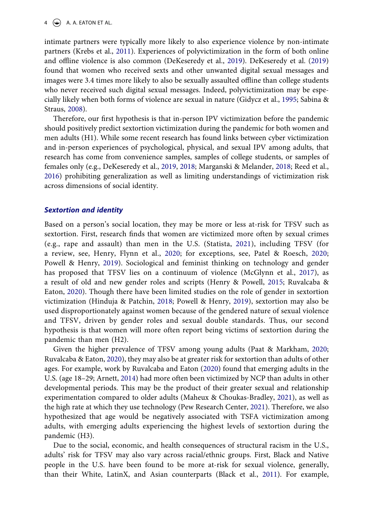<span id="page-4-7"></span>intimate partners were typically more likely to also experience violence by non-intimate partners (Krebs et al., [2011\)](#page-15-6). Experiences of polyvictimization in the form of both online and offline violence is also common (DeKeseredy et al., [2019](#page-14-10)). DeKeseredy et al. [\(2019\)](#page-14-10) found that women who received sexts and other unwanted digital sexual messages and images were 3.4 times more likely to also be sexually assaulted offline than college students who never received such digital sexual messages. Indeed, polyvictimization may be especially likely when both forms of violence are sexual in nature (Gidycz et al., [1995;](#page-15-7) Sabina & Straus, [2008\)](#page-16-6).

<span id="page-4-12"></span><span id="page-4-3"></span><span id="page-4-2"></span>Therefore, our first hypothesis is that in-person IPV victimization before the pandemic should positively predict sextortion victimization during the pandemic for both women and men adults (H1). While some recent research has found links between cyber victimization and in-person experiences of psychological, physical, and sexual IPV among adults, that research has come from convenience samples, samples of college students, or samples of females only (e.g., DeKeseredy et al., [2019,](#page-14-10) [2018](#page-14-11); Marganski & Melander, [2018;](#page-15-8) Reed et al., [2016](#page-16-7)) prohibiting generalization as well as limiting understandings of victimization risk across dimensions of social identity.

#### *Sextortion and identity*

<span id="page-4-13"></span><span id="page-4-9"></span><span id="page-4-5"></span><span id="page-4-4"></span>Based on a person's social location, they may be more or less at-risk for TFSV such as sextortion. First, research finds that women are victimized more often by sexual crimes (e.g., rape and assault) than men in the U.S. (Statista, [2021](#page-17-7)), including TFSV (for a review, see, Henry, Flynn et al., [2020](#page-15-9); for exceptions, see, Patel & Roesch, [2020;](#page-16-8) Powell & Henry, [2019\)](#page-16-9). Sociological and feminist thinking on technology and gender has proposed that TFSV lies on a continuum of violence (McGlynn et al., [2017\)](#page-16-10), as a result of old and new gender roles and scripts (Henry & Powell, [2015](#page-15-10); Ruvalcaba & Eaton, [2020](#page-16-11)). Though there have been limited studies on the role of gender in sextortion victimization (Hinduja & Patchin, [2018;](#page-15-11) Powell & Henry, [2019\)](#page-16-9), sextortion may also be used disproportionately against women because of the gendered nature of sexual violence and TFSV, driven by gender roles and sexual double standards. Thus, our second hypothesis is that women will more often report being victims of sextortion during the pandemic than men (H2).

<span id="page-4-11"></span><span id="page-4-8"></span><span id="page-4-6"></span><span id="page-4-0"></span>Given the higher prevalence of TFSV among young adults (Paat & Markham, [2020;](#page-16-4) Ruvalcaba & Eaton, [2020](#page-16-11)), they may also be at greater risk for sextortion than adults of other ages. For example, work by Ruvalcaba and Eaton ([2020\)](#page-16-11) found that emerging adults in the U.S. (age 18–29; Arnett, [2014](#page-13-5)) had more often been victimized by NCP than adults in other developmental periods. This may be the product of their greater sexual and relationship experimentation compared to older adults (Maheux & Choukas-Bradley, [2021\)](#page-15-12), as well as the high rate at which they use technology (Pew Research Center, [2021](#page-16-12)). Therefore, we also hypothesized that age would be negatively associated with TSFA victimization among adults, with emerging adults experiencing the highest levels of sextortion during the pandemic (H3).

<span id="page-4-10"></span><span id="page-4-1"></span>Due to the social, economic, and health consequences of structural racism in the U.S., adults' risk for TFSV may also vary across racial/ethnic groups. First, Black and Native people in the U.S. have been found to be more at-risk for sexual violence, generally, than their White, LatinX, and Asian counterparts (Black et al., [2011\)](#page-13-6). For example,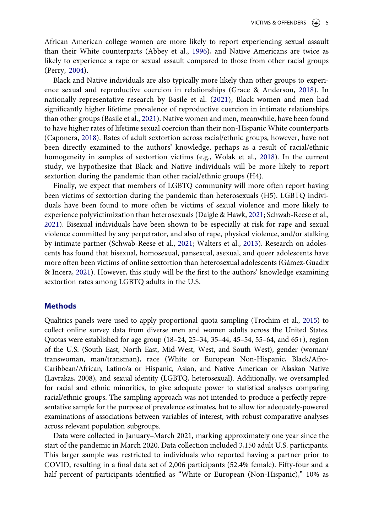<span id="page-5-0"></span>African American college women are more likely to report experiencing sexual assault than their White counterparts (Abbey et al., [1996\)](#page-13-7), and Native Americans are twice as likely to experience a rape or sexual assault compared to those from other racial groups (Perry, [2004](#page-16-13)).

<span id="page-5-5"></span><span id="page-5-4"></span><span id="page-5-1"></span>Black and Native individuals are also typically more likely than other groups to experience sexual and reproductive coercion in relationships (Grace & Anderson, [2018](#page-15-13)). In nationally-representative research by Basile et al. ([2021\)](#page-13-8), Black women and men had significantly higher lifetime prevalence of reproductive coercion in intimate relationships than other groups (Basile et al., [2021\)](#page-13-8). Native women and men, meanwhile, have been found to have higher rates of lifetime sexual coercion than their non-Hispanic White counterparts (Caponera, [2018](#page-13-9)). Rates of adult sextortion across racial/ethnic groups, however, have not been directly examined to the authors' knowledge, perhaps as a result of racial/ethnic homogeneity in samples of sextortion victims (e.g., Wolak et al., [2018](#page-17-3)). In the current study, we hypothesize that Black and Native individuals will be more likely to report sextortion during the pandemic than other racial/ethnic groups (H4).

<span id="page-5-6"></span><span id="page-5-3"></span><span id="page-5-2"></span>Finally, we expect that members of LGBTQ community will more often report having been victims of sextortion during the pandemic than heterosexuals (H5). LGBTQ individuals have been found to more often be victims of sexual violence and more likely to experience polyvictimization than heterosexuals (Daigle & Hawk, [2021](#page-14-12); Schwab-Reese et al., [2021](#page-17-8)). Bisexual individuals have been shown to be especially at risk for rape and sexual violence committed by any perpetrator, and also of rape, physical violence, and/or stalking by intimate partner (Schwab-Reese et al., [2021](#page-17-8); Walters et al., [2013\)](#page-17-9). Research on adolescents has found that bisexual, homosexual, pansexual, asexual, and queer adolescents have more often been victims of online sextortion than heterosexual adolescents (Gámez-Guadix & Incera, [2021\)](#page-14-9). However, this study will be the first to the authors' knowledge examining sextortion rates among LGBTQ adults in the U.S.

#### **Methods**

<span id="page-5-7"></span>Qualtrics panels were used to apply proportional quota sampling (Trochim et al., [2015](#page-17-10)) to collect online survey data from diverse men and women adults across the United States. Quotas were established for age group (18–24, 25–34, 35–44, 45–54, 55–64, and 65+), region of the U.S. (South East, North East, Mid-West, West, and South West), gender (woman/ transwoman, man/transman), race (White or European Non-Hispanic, Black/Afro-Caribbean/African, Latino/a or Hispanic, Asian, and Native American or Alaskan Native (Lavrakas, 2008), and sexual identity (LGBTQ, heterosexual). Additionally, we oversampled for racial and ethnic minorities, to give adequate power to statistical analyses comparing racial/ethnic groups. The sampling approach was not intended to produce a perfectly representative sample for the purpose of prevalence estimates, but to allow for adequately-powered examinations of associations between variables of interest, with robust comparative analyses across relevant population subgroups.

Data were collected in January–March 2021, marking approximately one year since the start of the pandemic in March 2020. Data collection included 3,150 adult U.S. participants. This larger sample was restricted to individuals who reported having a partner prior to COVID, resulting in a final data set of 2,006 participants (52.4% female). Fifty-four and a half percent of participants identified as "White or European (Non-Hispanic)," 10% as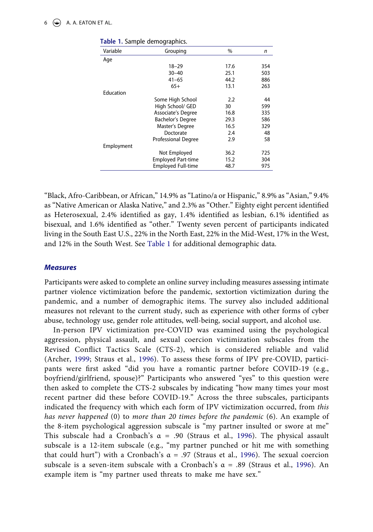#### 6  $\left(\frac{1}{2}\right)$  A. A. EATON ET AL.

| Variable   | Grouping                   | $\frac{0}{0}$ | n   |
|------------|----------------------------|---------------|-----|
| Age        |                            |               |     |
|            | $18 - 29$                  | 17.6          | 354 |
|            | $30 - 40$                  | 25.1          | 503 |
|            | $41 - 65$                  | 44.2          | 886 |
|            | $65+$                      | 13.1          | 263 |
| Education  |                            |               |     |
|            | Some High School           | 2.2           | 44  |
|            | High School/ GED           | 30            | 599 |
|            | Associate's Degree         | 16.8          | 335 |
|            | <b>Bachelor's Degree</b>   | 29.3          | 586 |
|            | Master's Degree            | 16.5          | 329 |
|            | Doctorate                  | 2.4           | 48  |
|            | <b>Professional Degree</b> | 2.9           | 58  |
| Employment |                            |               |     |
|            | Not Employed               | 36.2          | 725 |
|            | <b>Employed Part-time</b>  | 15.2          | 304 |
|            | <b>Employed Full-time</b>  | 48.7          | 975 |

<span id="page-6-0"></span>**Table 1.** Sample demographics.

"Black, Afro-Caribbean, or African," 14.9% as "Latino/a or Hispanic," 8.9% as "Asian," 9.4% as "Native American or Alaska Native," and 2.3% as "Other." Eighty eight percent identified as Heterosexual, 2.4% identified as gay, 1.4% identified as lesbian, 6.1% identified as bisexual, and 1.6% identified as "other." Twenty seven percent of participants indicated living in the South East U.S., 22% in the North East, 22% in the Mid-West, 17% in the West, and 12% in the South West. See [Table 1](#page-6-0) for additional demographic data.

#### *Measures*

Participants were asked to complete an online survey including measures assessing intimate partner violence victimization before the pandemic, sextortion victimization during the pandemic, and a number of demographic items. The survey also included additional measures not relevant to the current study, such as experience with other forms of cyber abuse, technology use, gender role attitudes, well-being, social support, and alcohol use.

<span id="page-6-2"></span><span id="page-6-1"></span>In-person IPV victimization pre-COVID was examined using the psychological aggression, physical assault, and sexual coercion victimization subscales from the Revised Conflict Tactics Scale (CTS-2), which is considered reliable and valid (Archer, [1999](#page-13-10); Straus et al., [1996\)](#page-17-11). To assess these forms of IPV pre-COVID, participants were first asked "did you have a romantic partner before COVID-19 (e.g., boyfriend/girlfriend, spouse)?" Participants who answered "yes" to this question were then asked to complete the CTS-2 subscales by indicating "how many times your most recent partner did these before COVID-19." Across the three subscales, participants indicated the frequency with which each form of IPV victimization occurred, from *this has never happened* (0) to *more than 20 times before the pandemic* (6). An example of the 8-item psychological aggression subscale is "my partner insulted or swore at me" This subscale had a Cronbach's  $\alpha$  = .90 (Straus et al., [1996\)](#page-17-11). The physical assault subscale is a 12-item subscale (e.g., "my partner punched or hit me with something that could hurt") with a Cronbach's  $\alpha$  = .97 (Straus et al., [1996](#page-17-11)). The sexual coercion subscale is a seven-item subscale with a Cronbach's  $\alpha = .89$  (Straus et al., [1996](#page-17-11)). An example item is "my partner used threats to make me have sex."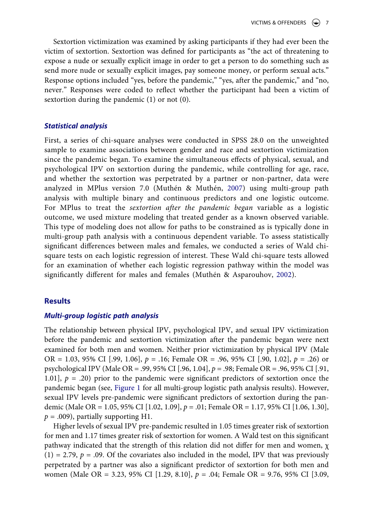Sextortion victimization was examined by asking participants if they had ever been the victim of sextortion. Sextortion was defined for participants as "the act of threatening to expose a nude or sexually explicit image in order to get a person to do something such as send more nude or sexually explicit images, pay someone money, or perform sexual acts." Response options included "yes, before the pandemic," "yes, after the pandemic," and "no, never." Responses were coded to reflect whether the participant had been a victim of sextortion during the pandemic (1) or not (0).

#### *Statistical analysis*

<span id="page-7-1"></span>First, a series of chi-square analyses were conducted in SPSS 28.0 on the unweighted sample to examine associations between gender and race and sextortion victimization since the pandemic began. To examine the simultaneous effects of physical, sexual, and psychological IPV on sextortion during the pandemic, while controlling for age, race, and whether the sextortion was perpetrated by a partner or non-partner, data were analyzed in MPlus version 7.0 (Muthén & Muthén, [2007\)](#page-16-14) using multi-group path analysis with multiple binary and continuous predictors and one logistic outcome. For MPlus to treat the *sextortion after the pandemic began* variable as a logistic outcome, we used mixture modeling that treated gender as a known observed variable. This type of modeling does not allow for paths to be constrained as is typically done in multi-group path analysis with a continuous dependent variable. To assess statistically significant differences between males and females, we conducted a series of Wald chisquare tests on each logistic regression of interest. These Wald chi-square tests allowed for an examination of whether each logistic regression pathway within the model was significantly different for males and females (Muthén & Asparouhov, [2002](#page-16-15)).

### <span id="page-7-0"></span>**Results**

#### *Multi-group logistic path analysis*

The relationship between physical IPV, psychological IPV, and sexual IPV victimization before the pandemic and sextortion victimization after the pandemic began were next examined for both men and women. Neither prior victimization by physical IPV (Male OR = 1.03, 95% CI [.99, 1.06], *p* = .16; Female OR = .96, 95% CI [.90, 1.02], *p* = .26) or psychological IPV (Male OR = .99, 95% CI [.96, 1.04], *p* = .98; Female OR = .96, 95% CI [.91, 1.01],  $p = .20$  prior to the pandemic were significant predictors of sextortion once the pandemic began (see, [Figure 1](#page-8-0) for all multi-group logistic path analysis results). However, sexual IPV levels pre-pandemic were significant predictors of sextortion during the pandemic (Male OR = 1.05, 95% CI [1.02, 1.09], *p* = .01; Female OR = 1.17, 95% CI [1.06, 1.30],  $p = .009$ , partially supporting H1.

Higher levels of sexual IPV pre-pandemic resulted in 1.05 times greater risk of sextortion for men and 1.17 times greater risk of sextortion for women. A Wald test on this significant pathway indicated that the strength of this relation did not differ for men and women, χ  $(1) = 2.79$ ,  $p = .09$ . Of the covariates also included in the model, IPV that was previously perpetrated by a partner was also a significant predictor of sextortion for both men and women (Male OR = 3.23, 95% CI [1.29, 8.10], *p* = .04; Female OR = 9.76, 95% CI [3.09,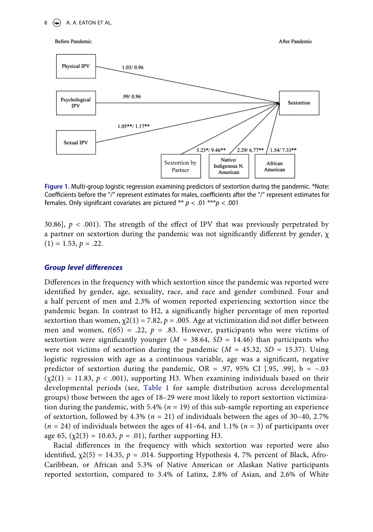#### $8 \quad \Leftrightarrow$  A. A. EATON ET AL.

#### <span id="page-8-0"></span>**Before Pandemic**



After Pandemic

**Figure 1.** Multi-group logistic regression examining predictors of sextortion during the pandemic. \*Note: Coefficients before the "/" represent estimates for males, coefficients after the "/" represent estimates for females. Only significant covariates are pictured \*\* *p* < .01 \*\*\**p* < .001

30.86],  $p < .001$ ). The strength of the effect of IPV that was previously perpetrated by a partner on sextortion during the pandemic was not significantly different by gender, χ  $(1) = 1.53, p = .22.$ 

#### *Group level differences*

Differences in the frequency with which sextortion since the pandemic was reported were identified by gender, age, sexuality, race, and race and gender combined. Four and a half percent of men and 2.3% of women reported experiencing sextortion since the pandemic began. In contrast to H2, a significantly higher percentage of men reported sextortion than women,  $\chi^2(1) = 7.82$ ,  $p = .005$ . Age at victimization did not differ between men and women,  $t(65) = .22$ ,  $p = .83$ . However, participants who were victims of sextortion were significantly younger ( $M = 38.64$ ,  $SD = 14.46$ ) than participants who were not victims of sextortion during the pandemic  $(M = 45.32, SD = 15.37)$ . Using logistic regression with age as a continuous variable, age was a significant, negative predictor of sextortion during the pandemic, OR = .97, 95% CI [.95, .99], b =  $-.03$  $(\chi(2)) = 11.83$ ,  $p < .001$ ), supporting H3. When examining individuals based on their developmental periods (see, [Table 1](#page-6-0) for sample distribution across developmental groups) those between the ages of 18–29 were most likely to report sextortion victimization during the pandemic, with 5.4% (*n* = 19) of this sub-sample reporting an experience of sextortion, followed by 4.3% (*n* = 21) of individuals between the ages of 30–40, 2.7% (*n* = 24) of individuals between the ages of 41–64, and 1.1% (*n* = 3) of participants over age 65,  $(\chi^2(3) = 10.63, p = .01)$ , further supporting H3.

Racial differences in the frequency with which sextortion was reported were also identified,  $\chi$ 2(5) = 14.35,  $p = .014$ . Supporting Hypothesis 4, 7% percent of Black, Afro-Caribbean, or African and 5.3% of Native American or Alaskan Native participants reported sextortion, compared to 3.4% of Latinx, 2.8% of Asian, and 2.6% of White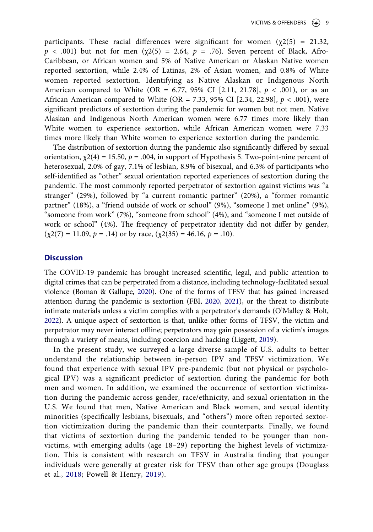participants. These racial differences were significant for women  $(\chi^2(5) = 21.32)$ ,  $p \lt 0.001$ ) but not for men ( $\chi$ 2(5) = 2.64,  $p = 0.76$ ). Seven percent of Black, Afro-Caribbean, or African women and 5% of Native American or Alaskan Native women reported sextortion, while 2.4% of Latinas, 2% of Asian women, and 0.8% of White women reported sextortion. Identifying as Native Alaskan or Indigenous North American compared to White (OR = 6.77, 95% CI [2.11, 21.78], *p* < .001), or as an African American compared to White (OR = 7.33, 95% CI [2.34, 22.98], *p* < .001), were significant predictors of sextortion during the pandemic for women but not men. Native Alaskan and Indigenous North American women were 6.77 times more likely than White women to experience sextortion, while African American women were 7.33 times more likely than White women to experience sextortion during the pandemic.

The distribution of sextortion during the pandemic also significantly differed by sexual orientation,  $\chi$ 2(4) = 15.50,  $p = .004$ , in support of Hypothesis 5. Two-point-nine percent of heterosexual, 2.0% of gay, 7.1% of lesbian, 8.9% of bisexual, and 6.3% of participants who self-identified as "other" sexual orientation reported experiences of sextortion during the pandemic. The most commonly reported perpetrator of sextortion against victims was "a stranger" (29%), followed by "a current romantic partner" (20%), a "former romantic partner" (18%), a "friend outside of work or school" (9%), "someone I met online" (9%), "someone from work" (7%), "someone from school" (4%), and "someone I met outside of work or school" (4%). The frequency of perpetrator identity did not differ by gender,  $(\chi2(7) = 11.09, p = .14)$  or by race,  $(\chi2(35) = 46.16, p = .10)$ .

#### **Discussion**

<span id="page-9-0"></span>The COVID-19 pandemic has brought increased scientific, legal, and public attention to digital crimes that can be perpetrated from a distance, including technology-facilitated sexual violence (Boman & Gallupe, [2020\)](#page-13-11). One of the forms of TFSV that has gained increased attention during the pandemic is sextortion (FBI, [2020,](#page-14-1) [2021](#page-14-2)), or the threat to distribute intimate materials unless a victim complies with a perpetrator's demands (O'Malley & Holt, [2022\)](#page-16-2). A unique aspect of sextortion is that, unlike other forms of TFSV, the victim and perpetrator may never interact offline; perpetrators may gain possession of a victim's images through a variety of means, including coercion and hacking (Liggett, [2019\)](#page-15-14).

<span id="page-9-2"></span><span id="page-9-1"></span>In the present study, we surveyed a large diverse sample of U.S. adults to better understand the relationship between in-person IPV and TFSV victimization. We found that experience with sexual IPV pre-pandemic (but not physical or psychological IPV) was a significant predictor of sextortion during the pandemic for both men and women. In addition, we examined the occurrence of sextortion victimization during the pandemic across gender, race/ethnicity, and sexual orientation in the U.S. We found that men, Native American and Black women, and sexual identity minorities (specifically lesbians, bisexuals, and "others") more often reported sextortion victimization during the pandemic than their counterparts. Finally, we found that victims of sextortion during the pandemic tended to be younger than nonvictims, with emerging adults (age 18–29) reporting the highest levels of victimization. This is consistent with research on TFSV in Australia finding that younger individuals were generally at greater risk for TFSV than other age groups (Douglass et al., [2018](#page-14-13); Powell & Henry, [2019\)](#page-16-9).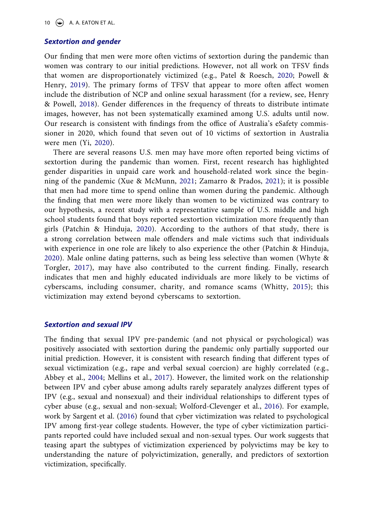10  $\left(\frac{1}{2}\right)$  A. A. EATON ET AL.

### *Sextortion and gender*

Our finding that men were more often victims of sextortion during the pandemic than women was contrary to our initial predictions. However, not all work on TFSV finds that women are disproportionately victimized (e.g., Patel & Roesch, [2020;](#page-16-8) Powell & Henry, [2019](#page-16-9)). The primary forms of TFSV that appear to more often affect women include the distribution of NCP and online sexual harassment (for a review, see, Henry & Powell, [2018\)](#page-15-2). Gender differences in the frequency of threats to distribute intimate images, however, has not been systematically examined among U.S. adults until now. Our research is consistent with findings from the office of Australia's eSafety commissioner in 2020, which found that seven out of 10 victims of sextortion in Australia were men (Yi, [2020](#page-18-1)).

<span id="page-10-5"></span><span id="page-10-4"></span>There are several reasons U.S. men may have more often reported being victims of sextortion during the pandemic than women. First, recent research has highlighted gender disparities in unpaid care work and household-related work since the beginning of the pandemic (Xue & McMunn, [2021](#page-17-12); Zamarro & Prados, [2021](#page-18-2)); it is possible that men had more time to spend online than women during the pandemic. Although the finding that men were more likely than women to be victimized was contrary to our hypothesis, a recent study with a representative sample of U.S. middle and high school students found that boys reported sextortion victimization more frequently than girls (Patchin & Hinduja, [2020](#page-16-3)). According to the authors of that study, there is a strong correlation between male offenders and male victims such that individuals with experience in one role are likely to also experience the other (Patchin & Hinduja, [2020\)](#page-16-3). Male online dating patterns, such as being less selective than women (Whyte & Torgler, [2017\)](#page-17-13), may have also contributed to the current finding. Finally, research indicates that men and highly educated individuals are more likely to be victims of cyberscams, including consumer, charity, and romance scams (Whitty, [2015](#page-17-5)); this victimization may extend beyond cyberscams to sextortion.

### <span id="page-10-2"></span>*Sextortion and sexual IPV*

<span id="page-10-3"></span><span id="page-10-1"></span><span id="page-10-0"></span>The finding that sexual IPV pre-pandemic (and not physical or psychological) was positively associated with sextortion during the pandemic only partially supported our initial prediction. However, it is consistent with research finding that different types of sexual victimization (e.g., rape and verbal sexual coercion) are highly correlated (e.g., Abbey et al., [2004](#page-13-12); Mellins et al., [2017](#page-16-16)). However, the limited work on the relationship between IPV and cyber abuse among adults rarely separately analyzes different types of IPV (e.g., sexual and nonsexual) and their individual relationships to different types of cyber abuse (e.g., sexual and non-sexual; Wolford-Clevenger et al., [2016\)](#page-17-14). For example, work by Sargent et al. ([2016\)](#page-16-17) found that cyber victimization was related to psychological IPV among first-year college students. However, the type of cyber victimization participants reported could have included sexual and non-sexual types. Our work suggests that teasing apart the subtypes of victimization experienced by polyvictims may be key to understanding the nature of polyvictimization, generally, and predictors of sextortion victimization, specifically.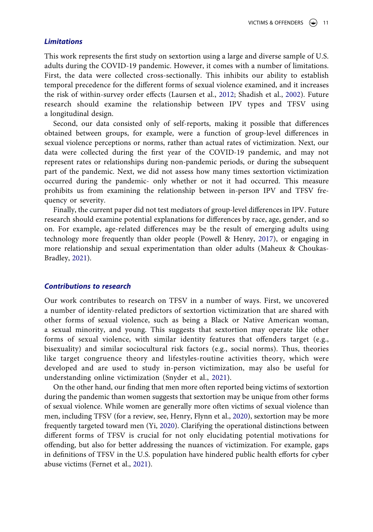#### *Limitations*

This work represents the first study on sextortion using a large and diverse sample of U.S. adults during the COVID-19 pandemic. However, it comes with a number of limitations. First, the data were collected cross-sectionally. This inhibits our ability to establish temporal precedence for the different forms of sexual violence examined, and it increases the risk of within-survey order effects (Laursen et al., [2012](#page-15-15); Shadish et al., [2002](#page-17-15)). Future research should examine the relationship between IPV types and TFSV using a longitudinal design.

<span id="page-11-1"></span>Second, our data consisted only of self-reports, making it possible that differences obtained between groups, for example, were a function of group-level differences in sexual violence perceptions or norms, rather than actual rates of victimization. Next, our data were collected during the first year of the COVID-19 pandemic, and may not represent rates or relationships during non-pandemic periods, or during the subsequent part of the pandemic. Next, we did not assess how many times sextortion victimization occurred during the pandemic- only whether or not it had occurred. This measure prohibits us from examining the relationship between in-person IPV and TFSV frequency or severity.

<span id="page-11-2"></span>Finally, the current paper did not test mediators of group-level differences in IPV. Future research should examine potential explanations for differences by race, age, gender, and so on. For example, age-related differences may be the result of emerging adults using technology more frequently than older people (Powell & Henry, [2017](#page-16-18)), or engaging in more relationship and sexual experimentation than older adults (Maheux & Choukas-Bradley, [2021\)](#page-15-12).

#### *Contributions to research*

Our work contributes to research on TFSV in a number of ways. First, we uncovered a number of identity-related predictors of sextortion victimization that are shared with other forms of sexual violence, such as being a Black or Native American woman, a sexual minority, and young. This suggests that sextortion may operate like other forms of sexual violence, with similar identity features that offenders target (e.g., bisexuality) and similar sociocultural risk factors (e.g., social norms). Thus, theories like target congruence theory and lifestyles-routine activities theory, which were developed and are used to study in-person victimization, may also be useful for understanding online victimization (Snyder et al., [2021\)](#page-17-16).

<span id="page-11-3"></span><span id="page-11-0"></span>On the other hand, our finding that men more often reported being victims of sextortion during the pandemic than women suggests that sextortion may be unique from other forms of sexual violence. While women are generally more often victims of sexual violence than men, including TFSV (for a review, see, Henry, Flynn et al., [2020\)](#page-15-9), sextortion may be more frequently targeted toward men (Yi, [2020\)](#page-18-1). Clarifying the operational distinctions between different forms of TFSV is crucial for not only elucidating potential motivations for offending, but also for better addressing the nuances of victimization. For example, gaps in definitions of TFSV in the U.S. population have hindered public health efforts for cyber abuse victims (Fernet et al., [2021\)](#page-14-14).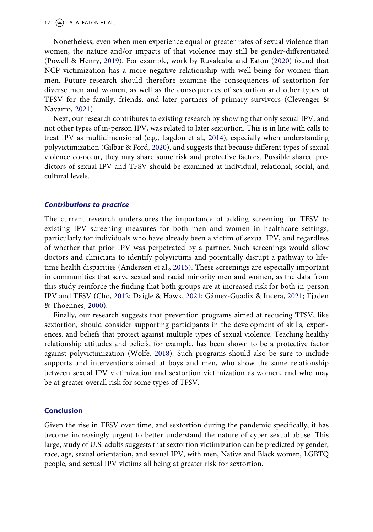Nonetheless, even when men experience equal or greater rates of sexual violence than women, the nature and/or impacts of that violence may still be gender-differentiated (Powell & Henry, [2019](#page-16-9)). For example, work by Ruvalcaba and Eaton [\(2020\)](#page-16-11) found that NCP victimization has a more negative relationship with well-being for women than men. Future research should therefore examine the consequences of sextortion for diverse men and women, as well as the consequences of sextortion and other types of TFSV for the family, friends, and later partners of primary survivors (Clevenger & Navarro, [2021](#page-14-15)).

<span id="page-12-4"></span><span id="page-12-3"></span><span id="page-12-2"></span>Next, our research contributes to existing research by showing that only sexual IPV, and not other types of in-person IPV, was related to later sextortion. This is in line with calls to treat IPV as multidimensional (e.g., Lagdon et al., [2014\)](#page-15-16), especially when understanding polyvictimization (Gilbar & Ford, [2020](#page-15-17)), and suggests that because different types of sexual violence co-occur, they may share some risk and protective factors. Possible shared predictors of sexual IPV and TFSV should be examined at individual, relational, social, and cultural levels.

#### *Contributions to practice*

<span id="page-12-0"></span>The current research underscores the importance of adding screening for TFSV to existing IPV screening measures for both men and women in healthcare settings, particularly for individuals who have already been a victim of sexual IPV, and regardless of whether that prior IPV was perpetrated by a partner. Such screenings would allow doctors and clinicians to identify polyvictims and potentially disrupt a pathway to lifetime health disparities (Andersen et al., [2015\)](#page-13-13). These screenings are especially important in communities that serve sexual and racial minority men and women, as the data from this study reinforce the finding that both groups are at increased risk for both in-person IPV and TFSV (Cho, [2012](#page-14-16); Daigle & Hawk, [2021;](#page-14-12) Gámez-Guadix & Incera, [2021;](#page-14-9) Tjaden & Thoennes, [2000\)](#page-17-17).

<span id="page-12-6"></span><span id="page-12-5"></span><span id="page-12-1"></span>Finally, our research suggests that prevention programs aimed at reducing TFSV, like sextortion, should consider supporting participants in the development of skills, experiences, and beliefs that protect against multiple types of sexual violence. Teaching healthy relationship attitudes and beliefs, for example, has been shown to be a protective factor against polyvictimization (Wolfe, [2018](#page-17-18)). Such programs should also be sure to include supports and interventions aimed at boys and men, who show the same relationship between sexual IPV victimization and sextortion victimization as women, and who may be at greater overall risk for some types of TFSV.

#### **Conclusion**

Given the rise in TFSV over time, and sextortion during the pandemic specifically, it has become increasingly urgent to better understand the nature of cyber sexual abuse. This large, study of U.S. adults suggests that sextortion victimization can be predicted by gender, race, age, sexual orientation, and sexual IPV, with men, Native and Black women, LGBTQ people, and sexual IPV victims all being at greater risk for sextortion.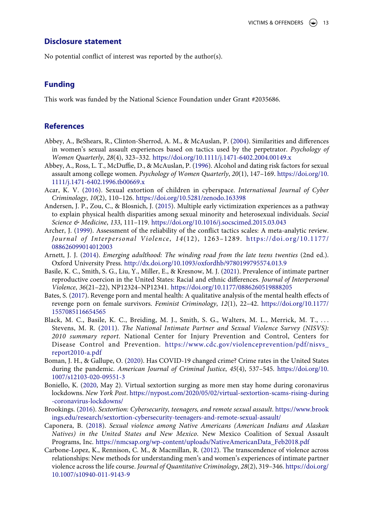#### **Disclosure statement**

No potential conflict of interest was reported by the author(s).

## **Funding**

This work was funded by the National Science Foundation under Grant #2035686.

## **References**

- <span id="page-13-12"></span>Abbey, A., BeShears, R., Clinton-Sherrod, A. M., & McAuslan, P. ([2004\)](#page-10-0). Similarities and differences in women's sexual assault experiences based on tactics used by the perpetrator. *Psychology of Women Quarterly*, *28*(4), 323–332. <https://doi.org/10.1111/j.1471-6402.2004.00149.x>
- <span id="page-13-7"></span>Abbey, A., Ross, L. T., McDuffie, D., & McAuslan, P. [\(1996](#page-5-0)). Alcohol and dating risk factors for sexual assault among college women. *Psychology of Women Quarterly*, *20*(1), 147–169. [https://doi.org/10.](https://doi.org/10.1111/j.1471-6402.1996.tb00669.x) [1111/j.1471-6402.1996.tb00669.x](https://doi.org/10.1111/j.1471-6402.1996.tb00669.x)
- <span id="page-13-1"></span>Acar, K. V. ([2016](#page-2-0)). Sexual extortion of children in cyberspace. *International Journal of Cyber Criminology*, *10*(2), 110–126. <https://doi.org/10.5281/zenodo.163398>
- <span id="page-13-13"></span>Andersen, J. P., Zou, C., & Blosnich, J. [\(2015](#page-12-0)). Multiple early victimization experiences as a pathway to explain physical health disparities among sexual minority and heterosexual individuals. *Social Science & Medicine*, *133*, 111–119. <https://doi.org/10.1016/j.socscimed.2015.03.043>
- <span id="page-13-10"></span>Archer, J. [\(1999\)](#page-6-1). Assessment of the reliability of the conflict tactics scales: A meta-analytic review. *Journal of Interpersonal Violence*, *14*(12), 1263–1289. [https://doi.org/10.1177/](https://doi.org/10.1177/088626099014012003) [088626099014012003](https://doi.org/10.1177/088626099014012003)
- <span id="page-13-5"></span>Arnett, J. J. ([2014](#page-4-0)). *Emerging adulthood: The winding road from the late teens twenties* (2nd ed.). Oxford University Press. <http://dx.doi.org/10.1093/oxfordhb/9780199795574.013.9>
- <span id="page-13-8"></span>Basile, K. C., Smith, S. G., Liu, Y., Miller, E., & Kresnow, M. J. ([2021](#page-5-1)). Prevalence of intimate partner reproductive coercion in the United States: Racial and ethnic differences. *Journal of Interpersonal Violence*, *36*(21–22), NP12324–NP12341. <https://doi.org/10.1177/0886260519888205>
- <span id="page-13-3"></span>Bates, S. [\(2017\)](#page-3-0). Revenge porn and mental health: A qualitative analysis of the mental health effects of revenge porn on female survivors. *Feminist Criminology*, *12*(1), 22–42. [https://doi.org/10.1177/](https://doi.org/10.1177/1557085116654565) [1557085116654565](https://doi.org/10.1177/1557085116654565)
- <span id="page-13-6"></span>Black, M. C., Basile, K. C., Breiding, M. J., Smith, S. G., Walters, M. L., Merrick, M. T., . . . Stevens, M. R. [\(2011](#page-4-1)). *The National Intimate Partner and Sexual Violence Survey (NISVS): 2010 summary report*. National Center for Injury Prevention and Control, Centers for Disease Control and Prevention. [https://www.cdc.gov/violenceprevention/pdf/nisvs\\_](https://www.cdc.gov/violenceprevention/pdf/nisvs_report2010-a.pdf)  [report2010-a.pdf](https://www.cdc.gov/violenceprevention/pdf/nisvs_report2010-a.pdf)
- <span id="page-13-11"></span>Boman, J. H., & Gallupe, O. ([2020\)](#page-9-0). Has COVID-19 changed crime? Crime rates in the United States during the pandemic. *American Journal of Criminal Justice*, *45*(4), 537–545. [https://doi.org/10.](https://doi.org/10.1007/s12103-020-09551-3) [1007/s12103-020-09551-3](https://doi.org/10.1007/s12103-020-09551-3)
- <span id="page-13-0"></span>Boniello, K. [\(2020](#page-1-2), May 2). Virtual sextortion surging as more men stay home during coronavirus lockdowns. *New York Post*. [https://nypost.com/2020/05/02/virtual-sextortion-scams-rising-during](https://nypost.com/2020/05/02/virtual-sextortion-scams-rising-during-coronavirus-lockdowns/) [-coronavirus-lockdowns/](https://nypost.com/2020/05/02/virtual-sextortion-scams-rising-during-coronavirus-lockdowns/)
- <span id="page-13-2"></span>Brookings. ([2016](#page-2-1)). *Sextortion: Cybersecurity, teenagers, and remote sexual assault*. [https://www.brook](https://www.brookings.edu/research/sextortion-cybersecurity-teenagers-and-remote-sexual-assault/) [ings.edu/research/sextortion-cybersecurity-teenagers-and-remote-sexual-assault/](https://www.brookings.edu/research/sextortion-cybersecurity-teenagers-and-remote-sexual-assault/)
- <span id="page-13-9"></span>Caponera, B. ([2018](#page-5-2)). *Sexual violence among Native Americans (American Indians and Alaskan Natives) in the United States and New Mexico*. New Mexico Coalition of Sexual Assault Programs, Inc. [https://nmcsap.org/wp-content/uploads/NativeAmericanData\\_Feb2018.pdf](https://nmcsap.org/wp-content/uploads/NativeAmericanData_Feb2018.pdf)
- <span id="page-13-4"></span>Carbone-Lopez, K., Rennison, C. M., & Macmillan, R. ([2012\)](#page-3-1). The transcendence of violence across relationships: New methods for understanding men's and women's experiences of intimate partner violence across the life course. *Journal of Quantitative Criminology*, *28*(2), 319–346. [https://doi.org/](https://doi.org/10.1007/s10940-011-9143-9) [10.1007/s10940-011-9143-9](https://doi.org/10.1007/s10940-011-9143-9)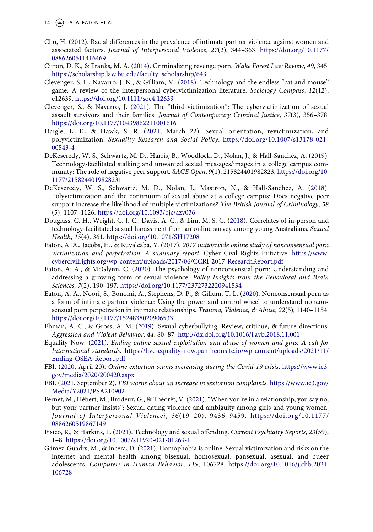- <span id="page-14-16"></span>Cho, H. [\(2012](#page-12-1)). Racial differences in the prevalence of intimate partner violence against women and associated factors. *Journal of Interpersonal Violence*, *27*(2), 344–363. [https://doi.org/10.1177/](https://doi.org/10.1177/0886260511416469) [0886260511416469](https://doi.org/10.1177/0886260511416469)
- <span id="page-14-5"></span>Citron, D. K., & Franks, M. A. [\(2014\)](#page-2-2). Criminalizing revenge porn. *Wake Forest Law Review*, *49*, 345. [https://scholarship.law.bu.edu/faculty\\_scholarship/643](https://scholarship.law.bu.edu/faculty_scholarship/643)
- <span id="page-14-0"></span>Clevenger, S. L., Navarro, J. N., & Gilliam, M. ([2018\)](#page-1-3). Technology and the endless "cat and mouse" game: A review of the interpersonal cybervictimization literature. *Sociology Compass*, *12*(12), e12639. <https://doi.org/10.1111/soc4.12639>
- <span id="page-14-15"></span>Clevenger, S., & Navarro, J. ([2021](#page-12-2)). The "third-victimization": The cybervictimization of sexual assault survivors and their families. *Journal of Contemporary Criminal Justice*, *37*(3), 356–378. <https://doi.org/10.1177/10439862211001616>
- <span id="page-14-12"></span>Daigle, L. E., & Hawk, S. R. ([2021,](#page-5-3) March 22). Sexual orientation, revictimization, and polyvictimization. *Sexuality Research and Social Policy*. [https://doi.org/10.1007/s13178-021-](https://doi.org/10.1007/s13178-021-00543-4) [00543-4](https://doi.org/10.1007/s13178-021-00543-4)
- <span id="page-14-10"></span>DeKeseredy, W. S., Schwartz, M. D., Harris, B., Woodlock, D., Nolan, J., & Hall-Sanchez, A. [\(2019\)](#page-4-2). Technology-facilitated stalking and unwanted sexual messages/images in a college campus community: The role of negative peer support. *SAGE Open*, *9*(1), 215824401982823. [https://doi.org/10.](https://doi.org/10.1177/2158244019828231) [1177/2158244019828231](https://doi.org/10.1177/2158244019828231)
- <span id="page-14-11"></span>DeKeseredy, W. S., Schwartz, M. D., Nolan, J., Mastron, N., & Hall-Sanchez, A. ([2018\)](#page-4-2). Polyvictimization and the continuum of sexual abuse at a college campus: Does negative peer support increase the likelihood of multiple victimizations? *The British Journal of Criminology*, *58*  (5), 1107–1126. <https://doi.org/10.1093/bjc/azy036>
- <span id="page-14-13"></span>Douglass, C. H., Wright, C. J. C., Davis, A. C., & Lim, M. S. C. ([2018\)](#page-9-1). Correlates of in-person and technology-facilitated sexual harassment from an online survey among young Australians. *Sexual Health*, *15*(4), 361. <https://doi.org/10.1071/SH17208>
- Eaton, A. A., Jacobs, H., & Ruvalcaba, Y. (2017). *2017 nationwide online study of nonconsensual porn victimization and perpetration: A summary report*. Cyber Civil Rights Initiative. [https://www.](https://www.cybercivilrights.org/wp-content/uploads/2017/06/CCRI-2017-ResearchReport.pdf) [cybercivilrights.org/wp-content/uploads/2017/06/CCRI-2017-ResearchReport.pdf](https://www.cybercivilrights.org/wp-content/uploads/2017/06/CCRI-2017-ResearchReport.pdf)
- <span id="page-14-4"></span>Eaton, A. A., & McGlynn, C. ([2020\)](#page-2-3). The psychology of nonconsensual porn: Understanding and addressing a growing form of sexual violence. *Policy Insights from the Behavioral and Brain Sciences*, *7*(2), 190–197. <https://doi.org/10.1177/2372732220941534>
- <span id="page-14-6"></span>Eaton, A. A., Noori, S., Bonomi, A., Stephens, D. P., & Gillum, T. L. ([2020\)](#page-2-4). Nonconsensual porn as a form of intimate partner violence: Using the power and control wheel to understand nonconsensual porn perpetration in intimate relationships. *Trauma, Violence, & Abuse*, *22*(5), 1140–1154. <https://doi.org/10.1177/1524838020906533>
- <span id="page-14-7"></span>Ehman, A. C., & Gross, A. M. [\(2019\)](#page-2-5). Sexual cyberbullying: Review, critique, & future directions. *Aggression and Violent Behavior*, *44*, 80–87. <http://dx.doi.org/10.1016/j.avb.2018.11.001>
- <span id="page-14-8"></span>Equality Now. ([2021\)](#page-2-6). *Ending online sexual exploitation and abuse of women and girls: A call for International standards*. [https://live-equality-now.pantheonsite.io/wp-content/uploads/2021/11/](https://live-equality-now.pantheonsite.io/wp-content/uploads/2021/11/Ending-OSEA-Report.pdf) [Ending-OSEA-Report.pdf](https://live-equality-now.pantheonsite.io/wp-content/uploads/2021/11/Ending-OSEA-Report.pdf)
- <span id="page-14-1"></span>FBI. [\(2020](#page-1-4), April 20). *Online extortion scams increasing during the Covid-19 crisis*. [https://www.ic3.](https://www.ic3.gov/media/2020/200420.aspx) [gov/media/2020/200420.aspx](https://www.ic3.gov/media/2020/200420.aspx)
- <span id="page-14-2"></span>FBI. ([2021,](#page-1-4) September 2). *FBI warns about an increase in sextortion complaints*. [https://www.ic3.gov/](https://www.ic3.gov/Media/Y2021/PSA210902) [Media/Y2021/PSA210902](https://www.ic3.gov/Media/Y2021/PSA210902)
- <span id="page-14-14"></span>Fernet, M., Hébert, M., Brodeur, G., & Théorêt, V. [\(2021](#page-11-0)). "When you're in a relationship, you say no, but your partner insists": Sexual dating violence and ambiguity among girls and young women. *Journal of Interpersonal Violencei*, *36*(19–20), 9436–9459. [https://doi.org/10.1177/](https://doi.org/10.1177/0886260519867149)  [0886260519867149](https://doi.org/10.1177/0886260519867149)
- <span id="page-14-3"></span>Fisico, R., & Harkins, L. ([2021](#page-2-7)). Technology and sexual offending. *Current Psychiatry Reports*, *23*(59), 1–8. <https://doi.org/10.1007/s11920-021-01269-1>
- <span id="page-14-9"></span>Gámez-Guadix, M., & Incera, D. [\(2021](#page-2-8)). Homophobia is online: Sexual victimization and risks on the internet and mental health among bisexual, homosexual, pansexual, asexual, and queer adolescents. *Computers in Human Behavior*, *119*, 106728. [https://doi.org/10.1016/j.chb.2021.](https://doi.org/10.1016/j.chb.2021.106728) [106728](https://doi.org/10.1016/j.chb.2021.106728)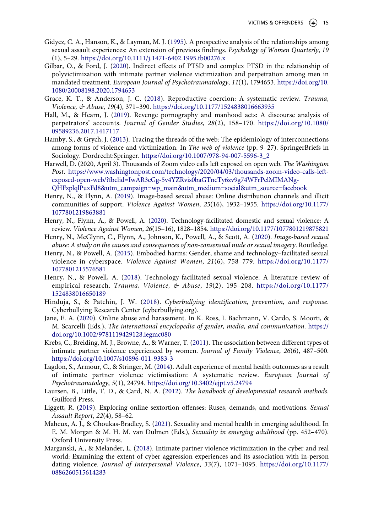- <span id="page-15-7"></span>Gidycz, C. A., Hanson, K., & Layman, M. J. ([1995](#page-4-3)). A prospective analysis of the relationships among sexual assault experiences: An extension of previous findings. *Psychology of Women Quarterly*, *19*  (1), 5–29. <https://doi.org/10.1111/j.1471-6402.1995.tb00276.x>
- <span id="page-15-17"></span>Gilbar, O., & Ford, J. [\(2020\)](#page-12-3). Indirect effects of PTSD and complex PTSD in the relationship of polyvictimization with intimate partner violence victimization and perpetration among men in mandated treatment. *European Journal of Psychotraumatology*, *11*(1), 1794653. [https://doi.org/10.](https://doi.org/10.1080/20008198.2020.1794653) [1080/20008198.2020.1794653](https://doi.org/10.1080/20008198.2020.1794653)
- <span id="page-15-13"></span>Grace, K. T., & Anderson, J. C. [\(2018\)](#page-5-4). Reproductive coercion: A systematic review. *Trauma, Violence, & Abuse*, *19*(4), 371–390. <https://doi.org/10.1177/1524838016663935>
- <span id="page-15-3"></span>Hall, M., & Hearn, J. [\(2019\)](#page-2-9). Revenge pornography and manhood acts: A discourse analysis of perpetrators' accounts. *Journal of Gender Studies*, *28*(2), 158–170. [https://doi.org/10.1080/](https://doi.org/10.1080/09589236.2017.1417117) [09589236.2017.1417117](https://doi.org/10.1080/09589236.2017.1417117)
- <span id="page-15-5"></span>Hamby, S., & Grych, J. ([2013](#page-3-2)). Tracing the threads of the web: The epidemiology of interconnections among forms of violence and victimization. In *The web of violence* (pp. 9–27). SpringerBriefs in Sociology. Dordrecht:Springer. [https://doi.org/10.1007/978-94-007-5596-3\\_2](https://doi.org/10.1007/978-94-007-5596-3_2)
- Harwell, D. (2020, April 3). Thousands of Zoom video calls left exposed on open web. *The Washington Post*. [https://www.washingtonpost.com/technology/2020/04/03/thousands-zoom-video-calls-left](https://www.washingtonpost.com/technology/2020/04/03/thousands-zoom-video-calls-left-exposed-open-web/?fbclid=IwAR3eGg-5v4YZRvis0baGTncTy6zv9g74WFrPelMIMANg-QHFzplqlPuxFd8%26utm_campaign=wp_main%26utm_medium=social%26utm_source=facebook)[exposed-open-web/?fbclid=IwAR3eGg-5v4YZRvis0baGTncTy6zv9g74WFrPelMIMANg-](https://www.washingtonpost.com/technology/2020/04/03/thousands-zoom-video-calls-left-exposed-open-web/?fbclid=IwAR3eGg-5v4YZRvis0baGTncTy6zv9g74WFrPelMIMANg-QHFzplqlPuxFd8%26utm_campaign=wp_main%26utm_medium=social%26utm_source=facebook)
- [QHFzplqlPuxFd8&utm\\_campaign=wp\\_main&utm\\_medium=social&utm\\_source=facebook](https://www.washingtonpost.com/technology/2020/04/03/thousands-zoom-video-calls-left-exposed-open-web/?fbclid=IwAR3eGg-5v4YZRvis0baGTncTy6zv9g74WFrPelMIMANg-QHFzplqlPuxFd8%26utm_campaign=wp_main%26utm_medium=social%26utm_source=facebook)
- <span id="page-15-4"></span>Henry, N., & Flynn, A. [\(2019](#page-2-9)). Image-based sexual abuse: Online distribution channels and illicit communities of support. *Violence Against Women*, *25*(16), 1932–1955. [https://doi.org/10.1177/](https://doi.org/10.1177/1077801219863881) [1077801219863881](https://doi.org/10.1177/1077801219863881)
- <span id="page-15-9"></span>Henry, N., Flynn, A., & Powell, A. ([2020\)](#page-4-4). Technology-facilitated domestic and sexual violence: A review. *Violence Against Women*, *26*(15–16), 1828–1854. <https://doi.org/10.1177/1077801219875821>
- <span id="page-15-0"></span>Henry, N., McGlynn, C., Flynn, A., Johnson, K., Powell, A., & Scott, A. ([2020\)](#page-1-3). *Image-based sexual abuse: A study on the causes and consequences of non-consensual nude or sexual imagery*. Routledge.
- <span id="page-15-10"></span>Henry, N., & Powell, A. [\(2015](#page-4-5)). Embodied harms: Gender, shame and technology–facilitated sexual violence in cyberspace. *Violence Against Women*, *21*(6), 758–779. [https://doi.org/10.1177/](https://doi.org/10.1177/1077801215576581) [1077801215576581](https://doi.org/10.1177/1077801215576581)
- <span id="page-15-2"></span>Henry, N., & Powell, A. [\(2018](#page-1-5)). Technology-facilitated sexual violence: A literature review of empirical research. *Trauma, Violence, & Abuse*, *19*(2), 195–208. [https://doi.org/10.1177/](https://doi.org/10.1177/1524838016650189) [1524838016650189](https://doi.org/10.1177/1524838016650189)
- <span id="page-15-11"></span>Hinduja, S., & Patchin, J. W. [\(2018](#page-4-6)). *Cyberbullying identification, prevention, and response*. Cyberbullying Research Center (cyberbullying.org).
- <span id="page-15-1"></span>Jane, E. A. [\(2020](#page-1-3)). Online abuse and harassment. In K. Ross, I. Bachmann, V. Cardo, S. Moorti, & M. Scarcelli (Eds.), *The international encyclopedia of gender, media, and communication*. [https://](https://doi.org/10.1002/9781119429128.iegmc080) [doi.org/10.1002/9781119429128.iegmc080](https://doi.org/10.1002/9781119429128.iegmc080)
- <span id="page-15-6"></span>Krebs, C., Breiding, M. J., Browne, A., & Warner, T. [\(2011](#page-4-7)). The association between different types of intimate partner violence experienced by women. *Journal of Family Violence*, *26*(6), 487–500. <https://doi.org/10.1007/s10896-011-9383-3>
- <span id="page-15-16"></span>Lagdon, S., Armour, C., & Stringer, M. ([2014\)](#page-12-4). Adult experience of mental health outcomes as a result of intimate partner violence victimisation: A systematic review. *European Journal of Psychotraumatology*, *5*(1), 24794. <https://doi.org/10.3402/ejpt.v5.24794>
- <span id="page-15-15"></span>Laursen, B., Little, T. D., & Card, N. A. ([2012](#page-11-1)). *The handbook of developmental research methods*. Guilford Press.
- <span id="page-15-14"></span>Liggett, R. [\(2019](#page-9-2)). Exploring online sextortion offenses: Ruses, demands, and motivations. *Sexual Assault Report*, *22*(4), 58–62.
- <span id="page-15-12"></span>Maheux, A. J., & Choukas-Bradley, S. ([2021](#page-4-8)). Sexuality and mental health in emerging adulthood. In E. M. Morgan & M. H. M. van Dulmen (Eds.), *Sexuality in emerging adulthood* (pp. 452–470). Oxford University Press.
- <span id="page-15-8"></span>Marganski, A., & Melander, L. ([2018](#page-4-2)). Intimate partner violence victimization in the cyber and real world: Examining the extent of cyber aggression experiences and its association with in-person dating violence. *Journal of Interpersonal Violence*, *33*(7), 1071–1095. [https://doi.org/10.1177/](https://doi.org/10.1177/0886260515614283) [0886260515614283](https://doi.org/10.1177/0886260515614283)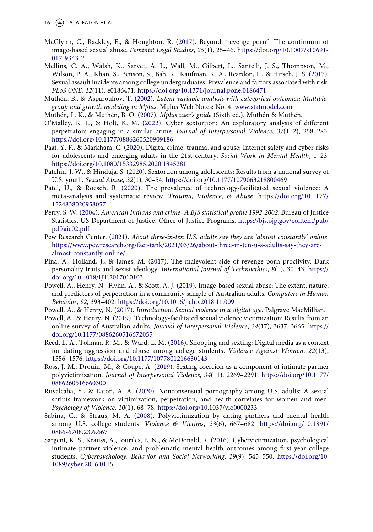16  $\left(\frac{1}{2}\right)$  A. A. EATON ET AL.

- <span id="page-16-10"></span>McGlynn, C., Rackley, E., & Houghton, R. [\(2017\)](#page-4-9). Beyond "revenge porn": The continuum of image-based sexual abuse. *Feminist Legal Studies*, *25*(1), 25–46. [https://doi.org/10.1007/s10691-](https://doi.org/10.1007/s10691-017-9343-2) [017-9343-2](https://doi.org/10.1007/s10691-017-9343-2)
- <span id="page-16-16"></span>Mellins, C. A., Walsh, K., Sarvet, A. L., Wall, M., Gilbert, L., Santelli, J. S., Thompson, M., Wilson, P. A., Khan, S., Benson, S., Bah, K., Kaufman, K. A., Reardon, L., & Hirsch, J. S. [\(2017\)](#page-10-0). Sexual assault incidents among college undergraduates: Prevalence and factors associated with risk. *PLoS ONE*, *12*(11), e0186471. <https://doi.org/10.1371/journal.pone.0186471>
- <span id="page-16-15"></span>Muthén, B., & Asparouhov, T. [\(2002](#page-7-0)). *Latent variable analysis with categorical outcomes: Multiplegroup and growth modeling in Mplus*. Mplus Web Notes: No. 4. [www.statmodel.com](http://www.statmodel.com)
- <span id="page-16-14"></span>Muthén, L. K., & Muthén, B. O. [\(2007\)](#page-7-1). *Mplus user's guide* (Sixth ed.). Muthén & Muthén.
- <span id="page-16-2"></span>O'Malley, R. L., & Holt, K. M. ([2022](#page-2-10)). Cyber sextortion: An exploratory analysis of different perpetrators engaging in a similar crime. *Journal of Interpersonal Violence*, *37*(1–2), 258–283. <https://doi.org/10.1177/0886260520909186>
- <span id="page-16-4"></span>Paat, Y. F., & Markham, C. ([2020\)](#page-3-3). Digital crime, trauma, and abuse: Internet safety and cyber risks for adolescents and emerging adults in the 21st century. *Social Work in Mental Health*, 1–23. <https://doi.org/10.1080/15332985.2020.1845281>
- <span id="page-16-3"></span>Patchin, J. W., & Hinduja, S. [\(2020](#page-2-8)). Sextortion among adolescents: Results from a national survey of U.S. youth. *Sexual Abuse*, *32*(1), 30–54. <https://doi.org/10.1177/1079063218800469>
- <span id="page-16-8"></span>Patel, U., & Roesch, R. [\(2020](#page-4-4)). The prevalence of technology-facilitated sexual violence: A meta-analysis and systematic review. *Trauma, Violence, & Abuse*. [https://doi.org/10.1177/](https://doi.org/10.1177/1524838020958057) [1524838020958057](https://doi.org/10.1177/1524838020958057)
- <span id="page-16-13"></span>Perry, S. W. ([2004\)](#page-5-5). *American Indians and crime- A BJS statistical profile 1992-2002*. Bureau of Justice Statistics, US Department of Justice, Office of Justice Programs. [https://bjs.ojp.gov/content/pub/](https://bjs.ojp.gov/content/pub/pdf/aic02.pdf) [pdf/aic02.pdf](https://bjs.ojp.gov/content/pub/pdf/aic02.pdf)
- <span id="page-16-12"></span>Pew Research Center. ([2021\)](#page-4-10). *About three-in-ten U.S. adults say they are 'almost constantly' online*. [https://www.pewresearch.org/fact-tank/2021/03/26/about-three-in-ten-u-s-adults-say-they-are](https://www.pewresearch.org/fact-tank/2021/03/26/about-three-in-ten-u-s-adults-say-they-are-almost-constantly-online/)[almost-constantly-online/](https://www.pewresearch.org/fact-tank/2021/03/26/about-three-in-ten-u-s-adults-say-they-are-almost-constantly-online/)
- <span id="page-16-0"></span>Pina, A., Holland, J., & James, M. ([2017\)](#page-2-11). The malevolent side of revenge porn proclivity: Dark personality traits and sexist ideology. *International Journal of Technoethics*, *8*(1), 30–43. [https://](https://doi.org/10.4018/IJT.2017010103) [doi.org/10.4018/IJT.2017010103](https://doi.org/10.4018/IJT.2017010103)
- <span id="page-16-1"></span>Powell, A., Henry, N., Flynn, A., & Scott, A. J. ([2019](#page-2-12)). Image-based sexual abuse: The extent, nature, and predictors of perpetration in a community sample of Australian adults. *Computers in Human Behavior*, *92*, 393–402. <https://doi.org/10.1016/j.chb.2018.11.009>
- <span id="page-16-18"></span>Powell, A., & Henry, N. ([2017\)](#page-11-2). *Introduction. Sexual violence in a digital age*. Palgrave MacMillian.
- <span id="page-16-9"></span>Powell, A., & Henry, N. ([2019\)](#page-4-6). Technology-facilitated sexual violence victimization: Results from an online survey of Australian adults. *Journal of Interpersonal Violence*, *34*(17), 3637–3665. [https://](https://doi.org/10.1177/0886260516672055) [doi.org/10.1177/0886260516672055](https://doi.org/10.1177/0886260516672055)
- <span id="page-16-7"></span>Reed, L. A., Tolman, R. M., & Ward, L. M. [\(2016](#page-4-2)). Snooping and sexting: Digital media as a context for dating aggression and abuse among college students. *Violence Against Women*, *22*(13), 1556–1576. <https://doi.org/10.1177/1077801216630143>
- <span id="page-16-5"></span>Ross, J. M., Drouin, M., & Coupe, A. [\(2019\)](#page-3-4). Sexting coercion as a component of intimate partner polyvictimization. *Journal of Interpersonal Violence*, *34*(11), 2269–2291. [https://doi.org/10.1177/](https://doi.org/10.1177/0886260516660300) [0886260516660300](https://doi.org/10.1177/0886260516660300)
- <span id="page-16-11"></span>Ruvalcaba, Y., & Eaton, A. A. ([2020](#page-4-11)). Nonconsensual pornography among U.S. adults: A sexual scripts framework on victimization, perpetration, and health correlates for women and men. *Psychology of Violence*, *10*(1), 68–78. <https://doi.org/10.1037/vio0000233>
- <span id="page-16-6"></span>Sabina, C., & Straus, M. A. ([2008](#page-4-12)). Polyvictimization by dating partners and mental health among U.S. college students. *Violence & Victims*, *23*(6), 667–682. [https://doi.org/10.1891/](https://doi.org/10.1891/0886-6708.23.6.667) [0886-6708.23.6.667](https://doi.org/10.1891/0886-6708.23.6.667)
- <span id="page-16-17"></span>Sargent, K. S., Krauss, A., Jouriles, E. N., & McDonald, R. ([2016](#page-10-1)). Cybervictimization, psychological intimate partner violence, and problematic mental health outcomes among first-year college students. *Cyberpsychology, Behavior and Social Networking*, *19*(9), 545–550. [https://doi.org/10.](https://doi.org/10.1089/cyber.2016.0115) [1089/cyber.2016.0115](https://doi.org/10.1089/cyber.2016.0115)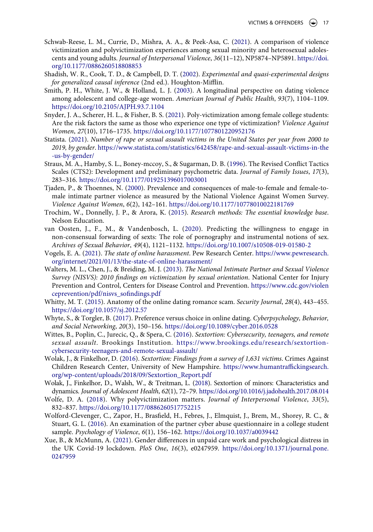- <span id="page-17-8"></span>Schwab-Reese, L. M., Currie, D., Mishra, A. A., & Peek-Asa, C. [\(2021\)](#page-5-6). A comparison of violence victimization and polyvictimization experiences among sexual minority and heterosexual adolescents and young adults. *Journal of Interpersonal Violence*, *36*(11–12), NP5874–NP5891. [https://doi.](https://doi.org/10.1177/0886260518808853) [org/10.1177/0886260518808853](https://doi.org/10.1177/0886260518808853)
- <span id="page-17-15"></span>Shadish, W. R., Cook, T. D., & Campbell, D. T. ([2002\)](#page-11-1). *Experimental and quasi-experimental designs for generalized causal inference* (2nd ed.). Houghton-Mifflin.
- <span id="page-17-6"></span>Smith, P. H., White, J. W., & Holland, L. J. [\(2003\)](#page-3-5). A longitudinal perspective on dating violence among adolescent and college-age women. *American Journal of Public Health*, *93*(7), 1104–1109. <https://doi.org/10.2105/AJPH.93.7.1104>
- <span id="page-17-16"></span>Snyder, J. A., Scherer, H. L., & Fisher, B. S. ([2021](#page-11-3)). Poly-victimization among female college students: Are the risk factors the same as those who experience one type of victimization? *Violence Against Women*, *27*(10), 1716–1735. <https://doi.org/10.1177/1077801220952176>
- <span id="page-17-7"></span>Statista. ([2021](#page-4-13)). *Number of rape or sexual assault victims in the United States per year from 2000 to 2019, by gender*. [https://www.statista.com/statistics/642458/rape-and-sexual-assault-victims-in-the](https://www.statista.com/statistics/642458/rape-and-sexual-assault-victims-in-the-us-by-gender/) [-us-by-gender/](https://www.statista.com/statistics/642458/rape-and-sexual-assault-victims-in-the-us-by-gender/)
- <span id="page-17-11"></span>Straus, M. A., Hamby, S. L., Boney-mccoy, S., & Sugarman, D. B. ([1996](#page-6-2)). The Revised Conflict Tactics Scales (CTS2): Development and preliminary psychometric data. *Journal of Family Issues*, *17*(3), 283–316. <https://doi.org/10.1177/019251396017003001>
- <span id="page-17-17"></span>Tjaden, P., & Thoennes, N. [\(2000\)](#page-12-5). Prevalence and consequences of male-to-female and female-tomale intimate partner violence as measured by the National Violence Against Women Survey. *Violence Against Women*, *6*(2), 142–161. <https://doi.org/10.1177/10778010022181769>
- <span id="page-17-10"></span>Trochim, W., Donnelly, J. P., & Arora, K. ([2015](#page-5-7)). *Research methods: The essential knowledge base*. Nelson Education.
- <span id="page-17-1"></span>van Oosten, J., F., M., & Vandenbosch, L. ([2020](#page-2-9)). Predicting the willingness to engage in non-consensual forwarding of sexts: The role of pornography and instrumental notions of sex. *Archives of Sexual Behavior*, *49*(4), 1121–1132. <https://doi.org/10.1007/s10508-019-01580-2>
- <span id="page-17-0"></span>Vogels, E. A. ([2021\)](#page-1-6). *The state of online harassment*. Pew Research Center. [https://www.pewresearch.](https://www.pewresearch.org/internet/2021/01/13/the-state-of-online-harassment/) [org/internet/2021/01/13/the-state-of-online-harassment/](https://www.pewresearch.org/internet/2021/01/13/the-state-of-online-harassment/)
- <span id="page-17-9"></span>Walters, M. L., Chen, J., & Breiding, M. J. ([2013](#page-5-6)). *The National Intimate Partner and Sexual Violence Survey (NISVS): 2010 findings on victimization by sexual orientation*. National Center for Injury Prevention and Control, Centers for Disease Control and Prevention. [https://www.cdc.gov/violen](https://www.cdc.gov/violenceprevention/pdf/nisvs_sofindings.pdf) [ceprevention/pdf/nisvs\\_sofindings.pdf](https://www.cdc.gov/violenceprevention/pdf/nisvs_sofindings.pdf)
- <span id="page-17-5"></span>Whitty, M. T. [\(2015](#page-3-6)). Anatomy of the online dating romance scam. *Security Journal*, *28*(4), 443–455. <https://doi.org/10.1057/sj.2012.57>
- <span id="page-17-13"></span>Whyte, S., & Torgler, B. ([2017](#page-10-2)). Preference versus choice in online dating. *Cyberpsychology, Behavior, and Social Networking*, *20*(3), 150–156. <https://doi.org/10.1089/cyber.2016.0528>
- <span id="page-17-4"></span>Wittes, B., Poplin, C., Jurecic, Q., & Spera, C. ([2016\)](#page-2-13). *Sextortion: Cybersecurity, teenagers, and remote sexual assault*. Brookings Institution. [https://www.brookings.edu/research/sextortion](https://www.brookings.edu/research/sextortion-cybersecurity-teenagers-and-remote-sexual-assault/)[cybersecurity-teenagers-and-remote-sexual-assault/](https://www.brookings.edu/research/sextortion-cybersecurity-teenagers-and-remote-sexual-assault/)
- <span id="page-17-2"></span>Wolak, J., & Finkelhor, D. ([2016](#page-2-12)). *Sextortion: Findings from a survey of 1,631 victims*. Crimes Against Children Research Center, University of New Hampshire. [https://www.humantraffickingsearch.](https://www.humantraffickingsearch.org/wp-content/uploads/2018/09/Sextortion_Report.pdf) [org/wp-content/uploads/2018/09/Sextortion\\_Report.pdf](https://www.humantraffickingsearch.org/wp-content/uploads/2018/09/Sextortion_Report.pdf)
- <span id="page-17-3"></span>Wolak, J., Finkelhor, D., Walsh, W., & Treitman, L. [\(2018\)](#page-2-8). Sextortion of minors: Characteristics and dynamics. *Journal of Adolescent Health*, *62*(1), 72–79. <https://doi.org/10.1016/j.jadohealth.2017.08.014>
- <span id="page-17-18"></span>Wolfe, D. A. [\(2018](#page-12-6)). Why polyvictimization matters. *Journal of Interpersonal Violence*, *33*(5), 832–837. <https://doi.org/10.1177/0886260517752215>
- <span id="page-17-14"></span>Wolford-Clevenger, C., Zapor, H., Brasfield, H., Febres, J., Elmquist, J., Brem, M., Shorey, R. C., & Stuart, G. L. [\(2016](#page-10-3)). An examination of the partner cyber abuse questionnaire in a college student sample. *Psychology of Violence*, *6*(1), 156–162. <https://doi.org/10.1037/a0039442>
- <span id="page-17-12"></span>Xue, B., & McMunn, A. ([2021](#page-10-4)). Gender differences in unpaid care work and psychological distress in the UK Covid-19 lockdown. *PloS One*, *16*(3), e0247959. [https://doi.org/10.1371/journal.pone.](https://doi.org/10.1371/journal.pone.0247959) [0247959](https://doi.org/10.1371/journal.pone.0247959)